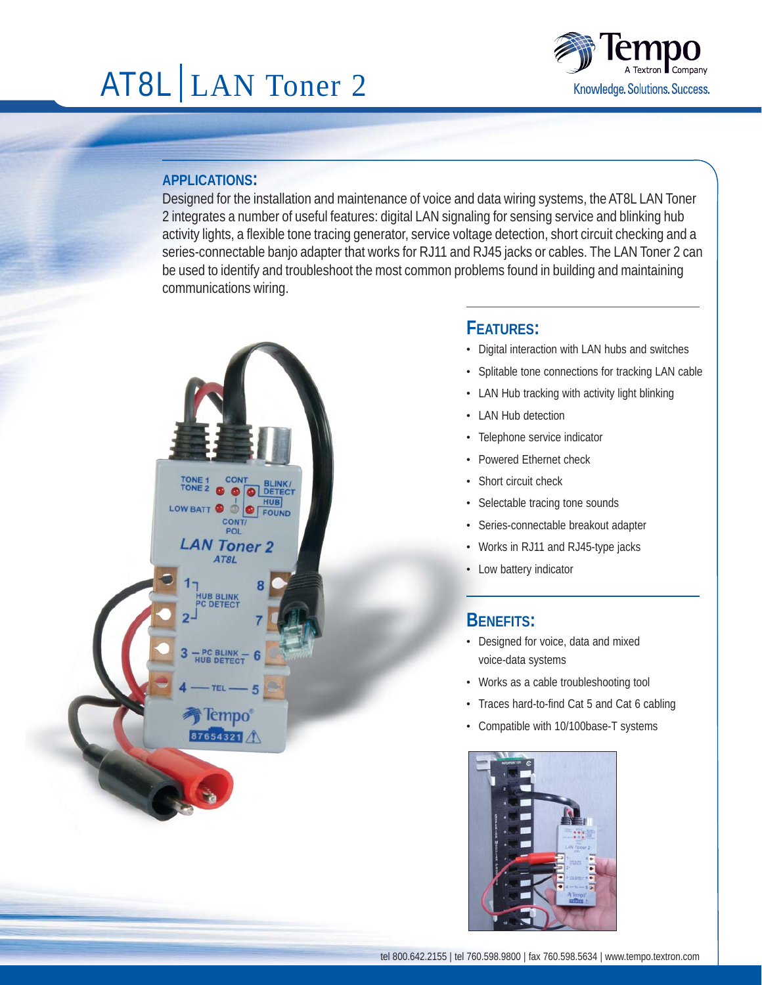# AT8L LAN Toner 2



### **APPLICATIONS:**

Designed for the installation and maintenance of voice and data wiring systems, the AT8L LAN Toner 2 integrates a number of useful features: digital LAN signaling for sensing service and blinking hub activity lights, a flexible tone tracing generator, service voltage detection, short circuit checking and a series-connectable banjo adapter that works for RJ11 and RJ45 jacks or cables. The LAN Toner 2 can be used to identify and troubleshoot the most common problems found in building and maintaining communications wiring.



## **FEATURES:**

- · Digital interaction with LAN hubs and switches
- · Splitable tone connections for tracking LAN cable
- · LAN Hub tracking with activity light blinking
- · LAN Hub detection
- · Telephone service indicator
- · Powered Ethernet check
- · Short circuit check
- · Selectable tracing tone sounds
- · Series-connectable breakout adapter
- · Works in RJ11 and RJ45-type jacks
- · Low battery indicator

## **BENEFITS:**

- · Designed for voice, data and mixed voice-data systems
- · Works as a cable troubleshooting tool
- · Traces hard-to-find Cat 5 and Cat 6 cabling
- · Compatible with 10/100base-T systems